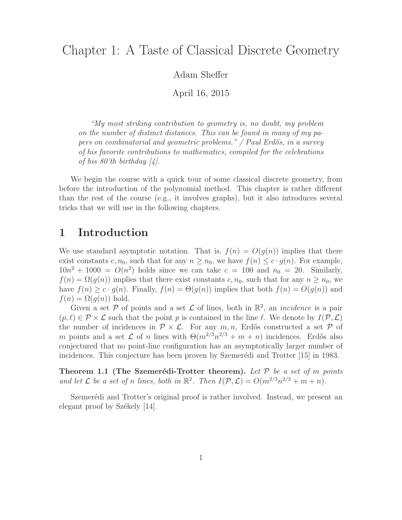Adam Sheffer

April 16, 2015

"My most striking contribution to geometry is, no doubt, my problem on the number of distinct distances. This can be found in many of my papers on combinatorial and geometric problems."  $\sqrt{P}$  Paul Erdős, in a survey of his favorite contributions to mathematics, compiled for the celebrations of his 80'th birthday  $\mathcal{A}$ .

We begin the course with a quick tour of some classical discrete geometry, from before the introduction of the polynomial method. This chapter is rather different than the rest of the course (e.g., it involves graphs), but it also introduces several tricks that we will use in the following chapters.

#### 1 Introduction

We use standard asymptotic notation. That is,  $f(n) = O(g(n))$  implies that there exist constants c,  $n_0$ , such that for any  $n \geq n_0$ , we have  $f(n) \leq c \cdot g(n)$ . For example,  $10n^2 + 1000 = O(n^2)$  holds since we can take  $c = 100$  and  $n_0 = 20$ . Similarly,  $f(n) = \Omega(g(n))$  implies that there exist constants c,  $n_0$ , such that for any  $n \geq n_0$ , we have  $f(n) \geq c \cdot g(n)$ . Finally,  $f(n) = \Theta(g(n))$  implies that both  $f(n) = O(g(n))$  and  $f(n) = \Omega(g(n))$  hold.

Given a set  $P$  of points and a set  $\mathcal L$  of lines, both in  $\mathbb R^2$ , an *incidence* is a pair  $(p, \ell) \in \mathcal{P} \times \mathcal{L}$  such that the point p is contained in the line  $\ell$ . We denote by  $I(\mathcal{P}, \mathcal{L})$ the number of incidences in  $\mathcal{P} \times \mathcal{L}$ . For any  $m, n$ , Erdős constructed a set  $\mathcal{P}$  of m points and a set  $\mathcal L$  of n lines with  $\Theta(m^{2/3}n^{2/3} + m + n)$  incidences. Erdős also conjectured that no point-line configuration has an asymptotically larger number of incidences. This conjecture has been proven by Szemerédi and Trotter [15] in 1983.

**Theorem 1.1 (The Szemerédi-Trotter theorem).** Let  $P$  be a set of m points and let  $\mathcal L$  be a set of n lines, both in  $\mathbb R^2$ . Then  $I(\mathcal P, \mathcal L) = O(m^{2/3}n^{2/3} + m + n)$ .

Szemerédi and Trotter's original proof is rather involved. Instead, we present an elegant proof by Székely  $[14]$ .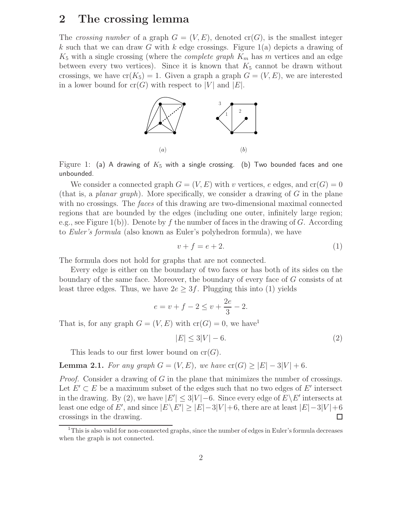## 2 The crossing lemma

The crossing number of a graph  $G = (V, E)$ , denoted  $cr(G)$ , is the smallest integer k such that we can draw G with k edge crossings. Figure  $1(a)$  depicts a drawing of  $K_5$  with a single crossing (where the *complete graph*  $K_m$  has m vertices and an edge between every two vertices). Since it is known that  $K_5$  cannot be drawn without crossings, we have  $cr(K_5) = 1$ . Given a graph a graph  $G = (V, E)$ , we are interested in a lower bound for  $cr(G)$  with respect to |V| and |E|.



Figure 1: (a) A drawing of  $K_5$  with a single crossing. (b) Two bounded faces and one unbounded.

We consider a connected graph  $G = (V, E)$  with v vertices, e edges, and  $cr(G) = 0$ (that is, a *planar graph*). More specifically, we consider a drawing of  $G$  in the plane with no crossings. The *faces* of this drawing are two-dimensional maximal connected regions that are bounded by the edges (including one outer, infinitely large region; e.g., see Figure 1(b)). Denote by f the number of faces in the drawing of G. According to Euler's formula (also known as Euler's polyhedron formula), we have

$$
v + f = e + 2.\tag{1}
$$

The formula does not hold for graphs that are not connected.

Every edge is either on the boundary of two faces or has both of its sides on the boundary of the same face. Moreover, the boundary of every face of G consists of at least three edges. Thus, we have  $2e \geq 3f$ . Plugging this into (1) yields

$$
e = v + f - 2 \le v + \frac{2e}{3} - 2.
$$

That is, for any graph  $G = (V, E)$  with  $cr(G) = 0$ , we have

$$
|E| \le 3|V| - 6.\tag{2}
$$

This leads to our first lower bound on  $cr(G)$ .

**Lemma 2.1.** For any graph  $G = (V, E)$ , we have  $\text{cr}(G) > |E| - 3|V| + 6$ .

*Proof.* Consider a drawing of G in the plane that minimizes the number of crossings. Let  $E' \subset E$  be a maximum subset of the edges such that no two edges of E' intersect in the drawing. By (2), we have  $|E'| \leq 3|V| - 6$ . Since every edge of  $E \setminus E'$  intersects at least one edge of E', and since  $|E \setminus E'| \ge |E|-3|V|+6$ , there are at least  $|E|-3|V|+6$ crossings in the drawing.

 $1$ This is also valid for non-connected graphs, since the number of edges in Euler's formula decreases when the graph is not connected.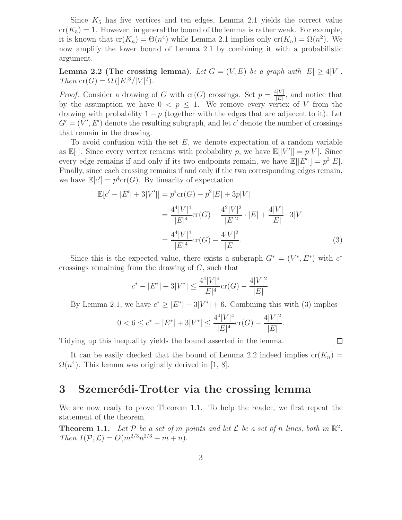Since  $K_5$  has five vertices and ten edges, Lemma 2.1 yields the correct value  $cr(K_5) = 1$ . However, in general the bound of the lemma is rather weak. For example, it is known that  $cr(K_n) = \Theta(n^4)$  while Lemma 2.1 implies only  $cr(K_n) = \Omega(n^2)$ . We now amplify the lower bound of Lemma 2.1 by combining it with a probabilistic argument.

**Lemma 2.2 (The crossing lemma).** Let  $G = (V, E)$  be a graph with  $|E| \ge 4|V|$ . Then  $\mathrm{cr}(G) = \Omega (|E|^3 / |V|^2).$ 

*Proof.* Consider a drawing of G with  $cr(G)$  crossings. Set  $p = \frac{4|V|}{|E|}$  $\frac{E[V]}{|E|}$ , and notice that by the assumption we have  $0 < p \leq 1$ . We remove every vertex of V from the drawing with probability  $1 - p$  (together with the edges that are adjacent to it). Let  $G' = (V', E')$  denote the resulting subgraph, and let c' denote the number of crossings that remain in the drawing.

To avoid confusion with the set  $E$ , we denote expectation of a random variable as  $\mathbb{E}[\cdot]$ . Since every vertex remains with probability p, we have  $\mathbb{E}[|V'|] = p|V|$ . Since every edge remains if and only if its two endpoints remain, we have  $\mathbb{E}[|E'|] = p^2 |E|$ . Finally, since each crossing remains if and only if the two corresponding edges remain, we have  $\mathbb{E}[c'] = p^4 \text{cr}(G)$ . By linearity of expectation

$$
\mathbb{E}[c'-|E'| + 3|V'|] = p^4 \operatorname{cr}(G) - p^2|E| + 3p|V|
$$
  
= 
$$
\frac{4^4|V|^4}{|E|^4} \operatorname{cr}(G) - \frac{4^2|V|^2}{|E|^2} \cdot |E| + \frac{4|V|}{|E|} \cdot 3|V|
$$
  
= 
$$
\frac{4^4|V|^4}{|E|^4} \operatorname{cr}(G) - \frac{4|V|^2}{|E|}.
$$
 (3)

Since this is the expected value, there exists a subgraph  $G^* = (V^*, E^*)$  with  $c^*$ crossings remaining from the drawing of  $G$ , such that

$$
c^* - |E^*| + 3|V^*| \le \frac{4^4|V|^4}{|E|^4} \text{cr}(G) - \frac{4|V|^2}{|E|}.
$$

By Lemma 2.1, we have  $c^* \geq |E^*| - 3|V^*| + 6$ . Combining this with (3) implies

.

 $\Box$ 

$$
0 < 6 \le c^* - |E^*| + 3|V^*| \le \frac{4^4|V|^4}{|E|^4} \operatorname{cr}(G) - \frac{4|V|^2}{|E|}
$$

Tidying up this inequality yields the bound asserted in the lemma.

It can be easily checked that the bound of Lemma 2.2 indeed implies  $cr(K_n)$  =  $\Omega(n^4)$ . This lemma was originally derived in [1, 8].

#### 3 Szemerédi-Trotter via the crossing lemma

We are now ready to prove Theorem 1.1. To help the reader, we first repeat the statement of the theorem.

**Theorem 1.1.** Let  $P$  be a set of m points and let  $\mathcal L$  be a set of n lines, both in  $\mathbb R^2$ . Then  $I(\mathcal{P}, \mathcal{L}) = O(m^{2/3}n^{2/3} + m + n).$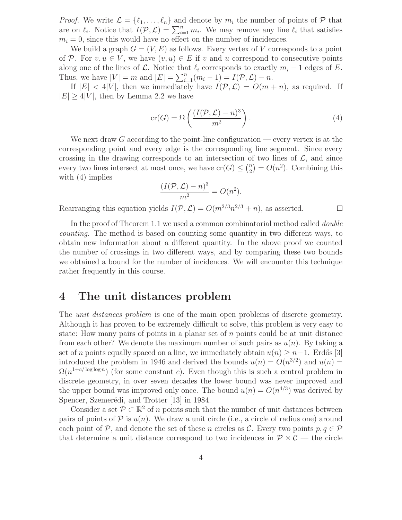*Proof.* We write  $\mathcal{L} = \{\ell_1, \ldots, \ell_n\}$  and denote by  $m_i$  the number of points of  $\mathcal{P}$  that are on  $\ell_i$ . Notice that  $I(\mathcal{P}, \mathcal{L}) = \sum_{i=1}^n m_i$ . We may remove any line  $\ell_i$  that satisfies  $m_i = 0$ , since this would have no effect on the number of incidences.

We build a graph  $G = (V, E)$  as follows. Every vertex of V corresponds to a point of P. For  $v, u \in V$ , we have  $(v, u) \in E$  if v and u correspond to consecutive points along one of the lines of  $\mathcal L$ . Notice that  $\ell_i$  corresponds to exactly  $m_i - 1$  edges of E. Thus, we have  $|V| = m$  and  $|E| = \sum_{i=1}^{n} (m_i - 1) = I(\mathcal{P}, \mathcal{L}) - n$ .

If  $|E| < 4|V|$ , then we immediately have  $I(\mathcal{P}, \mathcal{L}) = O(m+n)$ , as required. If  $|E| \geq 4|V|$ , then by Lemma 2.2 we have

$$
\operatorname{cr}(G) = \Omega\left(\frac{(I(\mathcal{P}, \mathcal{L}) - n)^3}{m^2}\right). \tag{4}
$$

 $\Box$ 

We next draw G according to the point-line configuration — every vertex is at the corresponding point and every edge is the corresponding line segment. Since every crossing in the drawing corresponds to an intersection of two lines of  $\mathcal{L}$ , and since every two lines intersect at most once, we have  $\operatorname{cr}(G) \leq {n \choose 2}$  $\binom{n}{2} = O(n^2)$ . Combining this with (4) implies

$$
\frac{(I(\mathcal{P}, \mathcal{L}) - n)^3}{m^2} = O(n^2).
$$

Rearranging this equation yields  $I(\mathcal{P}, \mathcal{L}) = O(m^{2/3}n^{2/3} + n)$ , as asserted.

In the proof of Theorem 1.1 we used a common combinatorial method called *double* counting. The method is based on counting some quantity in two different ways, to obtain new information about a different quantity. In the above proof we counted the number of crossings in two different ways, and by comparing these two bounds we obtained a bound for the number of incidences. We will encounter this technique rather frequently in this course.

## 4 The unit distances problem

The *unit distances problem* is one of the main open problems of discrete geometry. Although it has proven to be extremely difficult to solve, this problem is very easy to state: How many pairs of points in a planar set of  $n$  points could be at unit distance from each other? We denote the maximum number of such pairs as  $u(n)$ . By taking a set of n points equally spaced on a line, we immediately obtain  $u(n) \geq n-1$ . Erdős [3] introduced the problem in 1946 and derived the bounds  $u(n) = O(n^{3/2})$  and  $u(n) =$  $\Omega(n^{1+c/\log\log n})$  (for some constant c). Even though this is such a central problem in discrete geometry, in over seven decades the lower bound was never improved and the upper bound was improved only once. The bound  $u(n) = O(n^{4/3})$  was derived by Spencer, Szemerédi, and Trotter [13] in 1984.

Consider a set  $\mathcal{P} \subset \mathbb{R}^2$  of n points such that the number of unit distances between pairs of points of  $P$  is  $u(n)$ . We draw a unit circle (i.e., a circle of radius one) around each point of P, and denote the set of these n circles as C. Every two points  $p, q \in \mathcal{P}$ that determine a unit distance correspond to two incidences in  $\mathcal{P} \times \mathcal{C}$  — the circle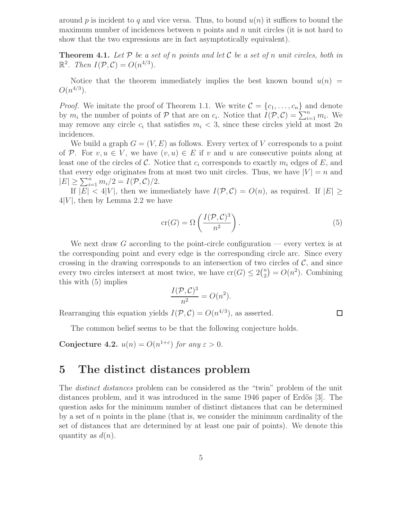around p is incident to q and vice versa. Thus, to bound  $u(n)$  it suffices to bound the maximum number of incidences between  $n$  points and  $n$  unit circles (it is not hard to show that the two expressions are in fact asymptotically equivalent).

**Theorem 4.1.** Let  $P$  be a set of n points and let  $C$  be a set of n unit circles, both in  $\mathbb{R}^2$ . Then  $I(\mathcal{P}, \mathcal{C}) = O(n^{4/3})$ .

Notice that the theorem immediately implies the best known bound  $u(n)$  $O(n^{4/3})$ .

*Proof.* We imitate the proof of Theorem 1.1. We write  $\mathcal{C} = \{c_1, \ldots, c_n\}$  and denote by  $m_i$  the number of points of P that are on  $c_i$ . Notice that  $I(\mathcal{P}, \mathcal{C}) = \sum_{i=1}^n m_i$ . We may remove any circle  $c_i$  that satisfies  $m_i < 3$ , since these circles yield at most  $2n$ incidences.

We build a graph  $G = (V, E)$  as follows. Every vertex of V corresponds to a point of P. For  $v, u \in V$ , we have  $(v, u) \in E$  if v and u are consecutive points along at least one of the circles of  $\mathcal C$ . Notice that  $c_i$  corresponds to exactly  $m_i$  edges of  $E$ , and that every edge originates from at most two unit circles. Thus, we have  $|V| = n$  and  $|E| \geq \sum_{i=1}^n m_i/2 = I(\mathcal{P}, \mathcal{C})/2.$ 

If  $|E| < 4|V|$ , then we immediately have  $I(\mathcal{P}, \mathcal{C}) = O(n)$ , as required. If  $|E| \ge$  $4|V|$ , then by Lemma 2.2 we have

$$
\operatorname{cr}(G) = \Omega\left(\frac{I(\mathcal{P}, \mathcal{C})^3}{n^2}\right). \tag{5}
$$

 $\Box$ 

We next draw G according to the point-circle configuration — every vertex is at the corresponding point and every edge is the corresponding circle arc. Since every crossing in the drawing corresponds to an intersection of two circles of  $\mathcal{C}$ , and since every two circles intersect at most twice, we have  $\operatorname{cr}(G) \leq 2{n \choose 2}$  $\binom{n}{2} = O(n^2)$ . Combining this with (5) implies

$$
\frac{I(\mathcal{P}, \mathcal{C})^3}{n^2} = O(n^2).
$$

Rearranging this equation yields  $I(\mathcal{P}, \mathcal{C}) = O(n^{4/3})$ , as asserted.

The common belief seems to be that the following conjecture holds.

Conjecture 4.2.  $u(n) = O(n^{1+\epsilon})$  for any  $\varepsilon > 0$ .

### 5 The distinct distances problem

The *distinct distances* problem can be considered as the "twin" problem of the unit distances problem, and it was introduced in the same 1946 paper of Erdős [3]. The question asks for the minimum number of distinct distances that can be determined by a set of  $n$  points in the plane (that is, we consider the minimum cardinality of the set of distances that are determined by at least one pair of points). We denote this quantity as  $d(n)$ .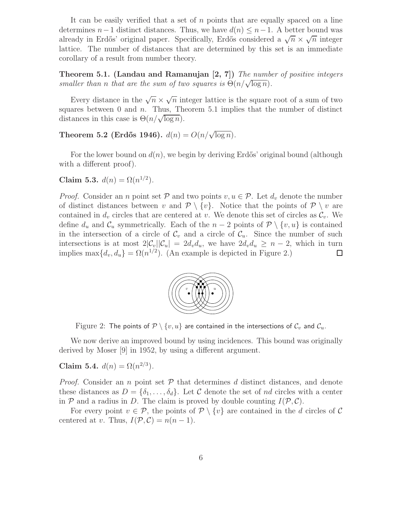It can be easily verified that a set of  $n$  points that are equally spaced on a line determines  $n-1$  distinct distances. Thus, we have  $d(n) \leq n-1$ . A better bound was already in Erdős' original paper. Specifically, Erdős considered a  $\sqrt{n} \times \sqrt{n}$  integer lattice. The number of distances that are determined by this set is an immediate corollary of a result from number theory.

**Theorem 5.1. (Landau and Ramanujan [2, 7])** The number of positive integers smaller than n that are the sum of two squares is  $\Theta(n/\sqrt{\log n})$ .

Every distance in the  $\sqrt{n} \times \sqrt{n}$  integer lattice is the square root of a sum of two squares between 0 and  $n$ . Thus, Theorem 5.1 implies that the number of distinct distances in this case is  $\Theta(n/\sqrt{\log n})$ .

Theorem 5.2 (Erdős 1946).  $d(n) = O(n/\sqrt{\log n})$ .

For the lower bound on  $d(n)$ , we begin by deriving Erdős' original bound (although with a different proof).

Claim 5.3.  $d(n) = \Omega(n^{1/2})$ .

*Proof.* Consider an *n* point set  $P$  and two points  $v, u \in P$ . Let  $d_v$  denote the number of distinct distances between v and  $\mathcal{P} \setminus \{v\}$ . Notice that the points of  $\mathcal{P} \setminus v$  are contained in  $d_v$  circles that are centered at v. We denote this set of circles as  $\mathcal{C}_v$ . We define  $d_u$  and  $\mathcal{C}_u$  symmetrically. Each of the  $n-2$  points of  $\mathcal{P} \setminus \{v, u\}$  is contained in the intersection of a circle of  $\mathcal{C}_v$  and a circle of  $\mathcal{C}_u$ . Since the number of such intersections is at most  $2|\mathcal{C}_v||\mathcal{C}_u| = 2d_vd_u$ , we have  $2d_vd_u \geq n-2$ , which in turn<br>implies  $\max\{d_v, d_u\} = \Omega(n^{1/2})$ . (An example is depicted in Figure 2.) implies max $\{d_v, d_u\} = \Omega(n^{1/2})$ . (An example is depicted in Figure 2.)



Figure 2: The points of  $\mathcal{P} \setminus \{v, u\}$  are contained in the intersections of  $\mathcal{C}_v$  and  $\mathcal{C}_u$ .

We now derive an improved bound by using incidences. This bound was originally derived by Moser [9] in 1952, by using a different argument.

Claim 5.4.  $d(n) = \Omega(n^{2/3})$ .

*Proof.* Consider an n point set  $P$  that determines d distinct distances, and denote these distances as  $D = \{\delta_1, \ldots, \delta_d\}$ . Let C denote the set of nd circles with a center in  $P$  and a radius in D. The claim is proved by double counting  $I(P, C)$ .

For every point  $v \in \mathcal{P}$ , the points of  $\mathcal{P} \setminus \{v\}$  are contained in the d circles of C centered at v. Thus,  $I(\mathcal{P}, \mathcal{C}) = n(n-1)$ .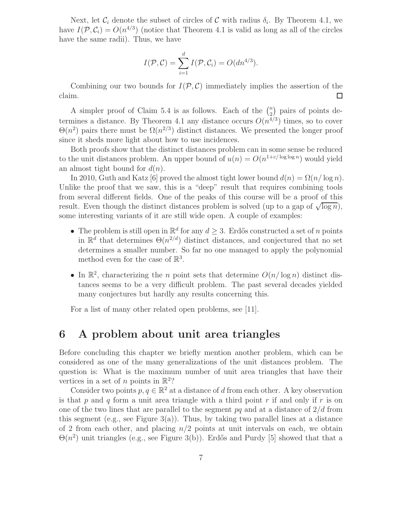Next, let  $\mathcal{C}_i$  denote the subset of circles of C with radius  $\delta_i$ . By Theorem 4.1, we have  $I(\mathcal{P}, \mathcal{C}_i) = O(n^{4/3})$  (notice that Theorem 4.1 is valid as long as all of the circles have the same radii). Thus, we have

$$
I(\mathcal{P}, \mathcal{C}) = \sum_{i=1}^{d} I(\mathcal{P}, \mathcal{C}_i) = O(dn^{4/3}).
$$

Combining our two bounds for  $I(\mathcal{P}, \mathcal{C})$  immediately implies the assertion of the m. claim.

A simpler proof of Claim 5.4 is as follows. Each of the  $\binom{n}{2}$  $\binom{n}{2}$  pairs of points determines a distance. By Theorem 4.1 any distance occurs  $O(n^{4/3})$  times, so to cover  $\Theta(n^2)$  pairs there must be  $\Omega(n^{2/3})$  distinct distances. We presented the longer proof since it sheds more light about how to use incidences.

Both proofs show that the distinct distances problem can in some sense be reduced to the unit distances problem. An upper bound of  $u(n) = O(n^{1+c/\log \log n})$  would yield an almost tight bound for  $d(n)$ .

In 2010, Guth and Katz [6] proved the almost tight lower bound  $d(n) = \Omega(n/\log n)$ . Unlike the proof that we saw, this is a "deep" result that requires combining tools from several different fields. One of the peaks of this course will be a proof of this result. Even though the distinct distances problem is solved (up to a gap of  $\sqrt{\log n}$ ), some interesting variants of it are still wide open. A couple of examples:

- The problem is still open in  $\mathbb{R}^d$  for any  $d \geq 3$ . Erdős constructed a set of *n* points in  $\mathbb{R}^d$  that determines  $\Theta(n^{2/d})$  distinct distances, and conjectured that no set determines a smaller number. So far no one managed to apply the polynomial method even for the case of  $\mathbb{R}^3$ .
- In  $\mathbb{R}^2$ , characterizing the *n* point sets that determine  $O(n/\log n)$  distinct distances seems to be a very difficult problem. The past several decades yielded many conjectures but hardly any results concerning this.

For a list of many other related open problems, see [11].

#### 6 A problem about unit area triangles

Before concluding this chapter we briefly mention another problem, which can be considered as one of the many generalizations of the unit distances problem. The question is: What is the maximum number of unit area triangles that have their vertices in a set of *n* points in  $\mathbb{R}^2$ ?

Consider two points  $p, q \in \mathbb{R}^2$  at a distance of d from each other. A key observation is that p and q form a unit area triangle with a third point r if and only if r is on one of the two lines that are parallel to the segment  $pq$  and at a distance of  $2/d$  from this segment (e.g., see Figure  $3(a)$ ). Thus, by taking two parallel lines at a distance of 2 from each other, and placing  $n/2$  points at unit intervals on each, we obtain  $\Theta(n^2)$  unit triangles (e.g., see Figure 3(b)). Erdős and Purdy [5] showed that that a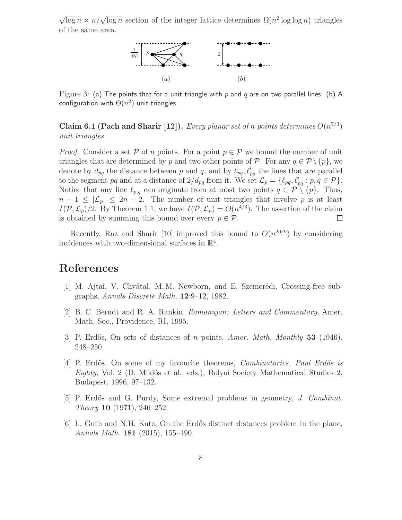$\sqrt{\log n} \times n/\sqrt{\log n}$  section of the integer lattice determines  $\Omega(n^2 \log \log n)$  triangles of the same area.



Figure 3: (a) The points that for a unit triangle with p and q are on two parallel lines. (b) A configuration with  $\Theta(n^2)$  unit triangles.

Claim 6.1 (Pach and Sharir [12]). Every planar set of n points determines  $O(n^{7/3})$ unit triangles.

*Proof.* Consider a set P of n points. For a point  $p \in \mathcal{P}$  we bound the number of unit triangles that are determined by p and two other points of P. For any  $q \in \mathcal{P} \setminus \{p\}$ , we denote by  $d_{pq}$  the distance between p and q, and by  $\ell_{pq}, \ell'_{pq}$  the lines that are parallel to the segment pq and at a distance of  $2/d_{pq}$  from it. We set  $\mathcal{L}_p = {\ell_{pq}, \ell'_{pq} : p, q \in \mathcal{P}}$ . Notice that any line  $\ell_{p,q}$  can originate from at most two points  $q \in \mathcal{P} \setminus \{p\}$ . Thus,  $n-1 \leq |\mathcal{L}_p| \leq 2n-2$ . The number of unit triangles that involve p is at least  $I(\mathcal{P}, \mathcal{L}_p)/2$ . By Theorem 1.1, we have  $I(\mathcal{P}, \mathcal{L}_p) = O(n^{4/3})$ . The assertion of the claim is obtained by summing this bound over every  $p \in \mathcal{P}$ .  $\Box$ 

Recently, Raz and Sharir [10] improved this bound to  $O(n^{20/9})$  by considering incidences with two-dimensional surfaces in  $\mathbb{R}^4$ .

# References

- [1] M. Ajtai, V. Chvátal, M. M. Newborn, and E. Szemerédi, Crossing-free subgraphs, Annals Discrete Math. 12:9–12, 1982.
- [2] B. C. Berndt and R. A. Rankin, Ramanujan: Letters and Commentary, Amer. Math. Soc., Providence, RI, 1995.
- [3] P. Erdős, On sets of distances of n points, Amer. Math. Monthly 53 (1946), 248–250.
- [4] P. Erdős, On some of my favourite theorems, *Combinatorics*, Paul Erdős is  $Eighty$ , Vol. 2 (D. Miklós et al., eds.), Bolyai Society Mathematical Studies 2, Budapest, 1996, 97–132.
- [5] P. Erdős and G. Purdy, Some extremal problems in geometry, *J. Combinat.* Theory 10 (1971), 246–252.
- [6] L. Guth and N.H. Katz, On the Erd˝os distinct distances problem in the plane, Annals Math. 181 (2015), 155–190.